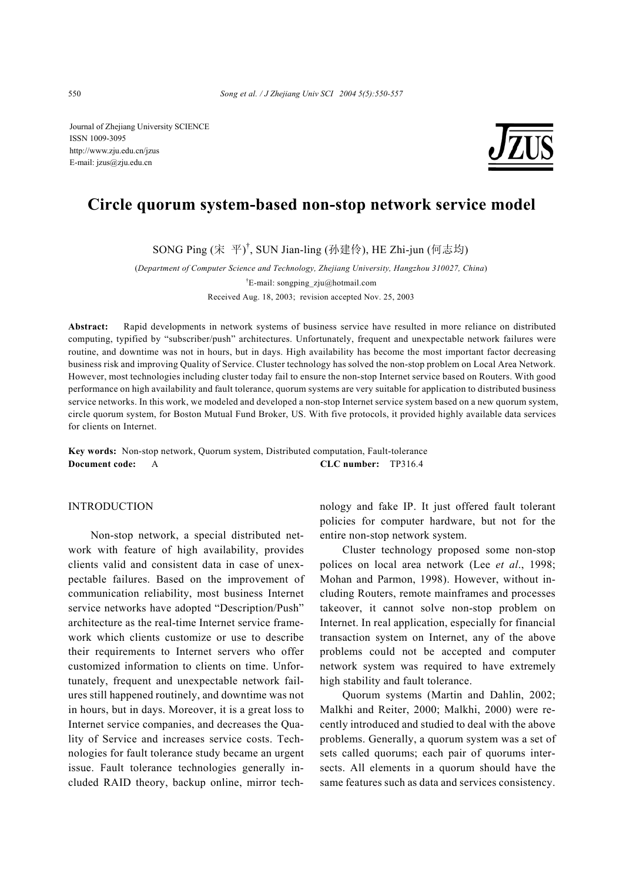Journal of Zhejiang University SCIENCE ISSN 1009-3095 http://www.zju.edu.cn/jzus E-mail: jzus@zju.edu.cn



# **Circle quorum system-based non-stop network service model**

SONG Ping (宋 平) † , SUN Jian-ling (孙建伶), HE Zhi-jun (何志均)

(*Department of Computer Science and Technology, Zhejiang University, Hangzhou 310027, China*) † E-mail: songping\_zju@hotmail.com

Received Aug. 18, 2003; revision accepted Nov. 25, 2003

**Abstract:** Rapid developments in network systems of business service have resulted in more reliance on distributed computing, typified by "subscriber/push" architectures. Unfortunately, frequent and unexpectable network failures were routine, and downtime was not in hours, but in days. High availability has become the most important factor decreasing business risk and improving Quality of Service. Cluster technology has solved the non-stop problem on Local Area Network. However, most technologies including cluster today fail to ensure the non-stop Internet service based on Routers. With good performance on high availability and fault tolerance, quorum systems are very suitable for application to distributed business service networks. In this work, we modeled and developed a non-stop Internet service system based on a new quorum system, circle quorum system, for Boston Mutual Fund Broker, US. With five protocols, it provided highly available data services for clients on Internet.

**Key words:** Non-stop network, Quorum system, Distributed computation, Fault-tolerance **Document code:** A **CLC number:** TP316.4

# INTRODUCTION

Non-stop network, a special distributed network with feature of high availability, provides clients valid and consistent data in case of unexpectable failures. Based on the improvement of communication reliability, most business Internet service networks have adopted "Description/Push" architecture as the real-time Internet service framework which clients customize or use to describe their requirements to Internet servers who offer customized information to clients on time. Unfortunately, frequent and unexpectable network failures still happened routinely, and downtime was not in hours, but in days. Moreover, it is a great loss to Internet service companies, and decreases the Quality of Service and increases service costs. Technologies for fault tolerance study became an urgent issue. Fault tolerance technologies generally included RAID theory, backup online, mirror technology and fake IP. It just offered fault tolerant policies for computer hardware, but not for the entire non-stop network system.

Cluster technology proposed some non-stop polices on local area network (Lee *et al*., 1998; Mohan and Parmon, 1998). However, without including Routers, remote mainframes and processes takeover, it cannot solve non-stop problem on Internet. In real application, especially for financial transaction system on Internet, any of the above problems could not be accepted and computer network system was required to have extremely high stability and fault tolerance.

Quorum systems (Martin and Dahlin, 2002; Malkhi and Reiter, 2000; Malkhi, 2000) were recently introduced and studied to deal with the above problems. Generally, a quorum system was a set of sets called quorums; each pair of quorums intersects. All elements in a quorum should have the same features such as data and services consistency.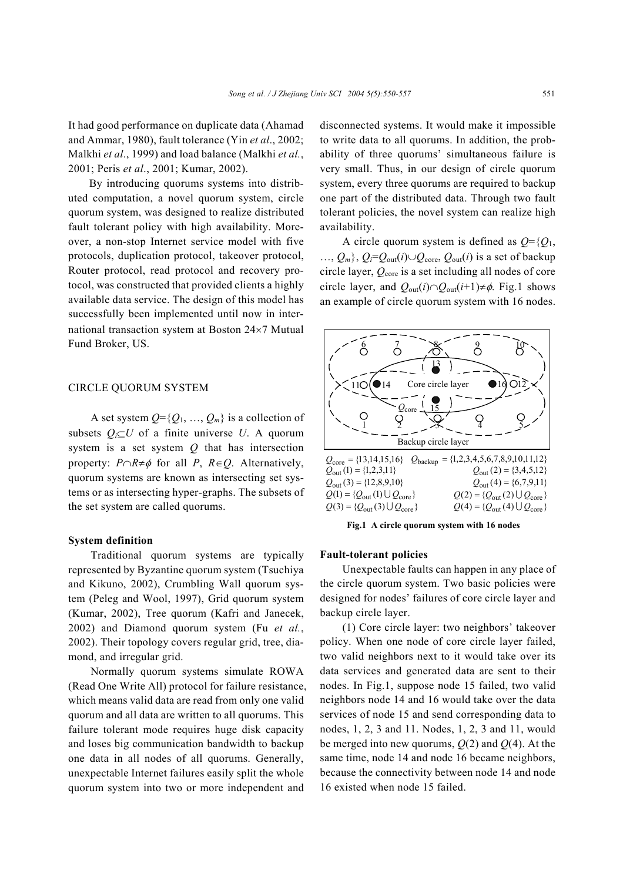It had good performance on duplicate data (Ahamad and Ammar, 1980), fault tolerance (Yin *et al*., 2002; Malkhi *et al*., 1999) and load balance (Malkhi *et al.*, 2001; Peris *et al*., 2001; Kumar, 2002).

By introducing quorums systems into distributed computation, a novel quorum system, circle quorum system, was designed to realize distributed fault tolerant policy with high availability. Moreover, a non-stop Internet service model with five protocols, duplication protocol, takeover protocol, Router protocol, read protocol and recovery protocol, was constructed that provided clients a highly available data service. The design of this model has successfully been implemented until now in international transaction system at Boston 24×7 Mutual Fund Broker, US.

## CIRCLE QUORUM SYSTEM

A set system  $Q = \{Q_1, ..., Q_m\}$  is a collection of subsets  $Q_i ⊵ U$  of a finite universe *U*. A quorum system is a set system *Q* that has intersection property: *P*∩*R*≠φ for all *P*, *R*∈*Q*. Alternatively, quorum systems are known as intersecting set systems or as intersecting hyper-graphs. The subsets of the set system are called quorums.

## **System definition**

Traditional quorum systems are typically represented by Byzantine quorum system (Tsuchiya and Kikuno, 2002), Crumbling Wall quorum system (Peleg and Wool, 1997), Grid quorum system (Kumar, 2002), Tree quorum (Kafri and Janecek, 2002) and Diamond quorum system (Fu *et al.*, 2002). Their topology covers regular grid, tree, diamond, and irregular grid.

Normally quorum systems simulate ROWA (Read One Write All) protocol for failure resistance, which means valid data are read from only one valid quorum and all data are written to all quorums. This failure tolerant mode requires huge disk capacity and loses big communication bandwidth to backup one data in all nodes of all quorums. Generally, unexpectable Internet failures easily split the whole quorum system into two or more independent and

disconnected systems. It would make it impossible to write data to all quorums. In addition, the probability of three quorums' simultaneous failure is very small. Thus, in our design of circle quorum system, every three quorums are required to backup one part of the distributed data. Through two fault tolerant policies, the novel system can realize high availability.

A circle quorum system is defined as  $Q = \{Q_1, Q_2\}$ …, *Qm*}, *Qi*=*Q*out(*i*)∪*Q*core, *Q*out(*i*) is a set of backup circle layer,  $Q_{\text{core}}$  is a set including all nodes of core circle layer, and  $Q_{out}(i) \cap Q_{out}(i+1) \neq \emptyset$ . Fig.1 shows an example of circle quorum system with 16 nodes.



## **Fault-tolerant policies**

Unexpectable faults can happen in any place of the circle quorum system. Two basic policies were designed for nodes' failures of core circle layer and backup circle layer.

(1) Core circle layer: two neighbors' takeover policy. When one node of core circle layer failed, two valid neighbors next to it would take over its data services and generated data are sent to their nodes. In Fig.1, suppose node 15 failed, two valid neighbors node 14 and 16 would take over the data services of node 15 and send corresponding data to nodes, 1, 2, 3 and 11. Nodes, 1, 2, 3 and 11, would be merged into new quorums, *Q*(2) and *Q*(4). At the same time, node 14 and node 16 became neighbors, because the connectivity between node 14 and node 16 existed when node 15 failed.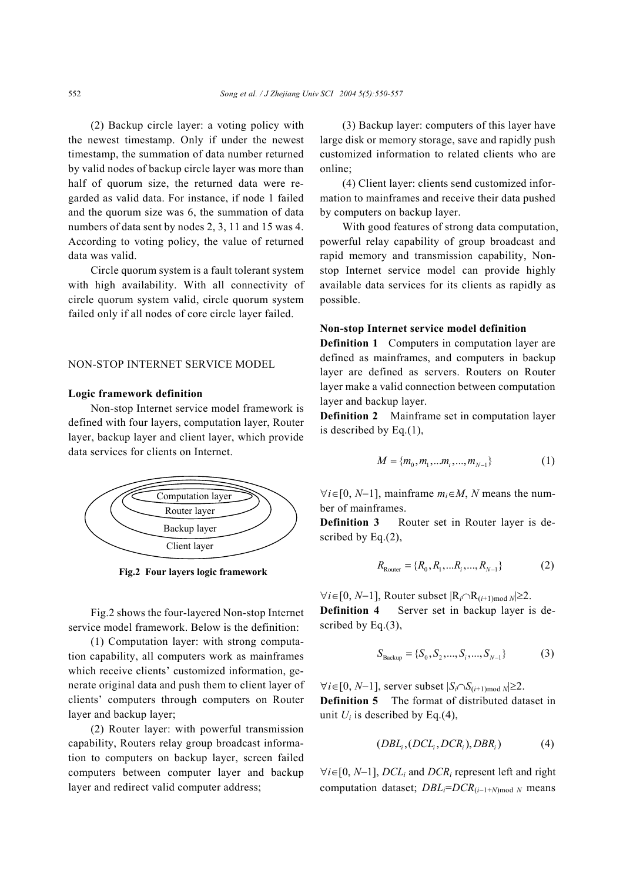(2) Backup circle layer: a voting policy with the newest timestamp. Only if under the newest timestamp, the summation of data number returned by valid nodes of backup circle layer was more than half of quorum size, the returned data were regarded as valid data. For instance, if node 1 failed and the quorum size was 6, the summation of data numbers of data sent by nodes 2, 3, 11 and 15 was 4. According to voting policy, the value of returned data was valid.

Circle quorum system is a fault tolerant system with high availability. With all connectivity of circle quorum system valid, circle quorum system failed only if all nodes of core circle layer failed.

## NON-STOP INTERNET SERVICE MODEL

# **Logic framework definition**

Non-stop Internet service model framework is defined with four layers, computation layer, Router layer, backup layer and client layer, which provide data services for clients on Internet.



**Fig.2 Four layers logic framework**

Fig.2 shows the four-layered Non-stop Internet service model framework. Below is the definition:

(1) Computation layer: with strong computation capability, all computers work as mainframes which receive clients' customized information, generate original data and push them to client layer of clients' computers through computers on Router layer and backup layer;

(2) Router layer: with powerful transmission capability, Routers relay group broadcast information to computers on backup layer, screen failed computers between computer layer and backup layer and redirect valid computer address;

(3) Backup layer: computers of this layer have large disk or memory storage, save and rapidly push customized information to related clients who are online;

(4) Client layer: clients send customized information to mainframes and receive their data pushed by computers on backup layer.

With good features of strong data computation, powerful relay capability of group broadcast and rapid memory and transmission capability, Nonstop Internet service model can provide highly available data services for its clients as rapidly as possible.

## **Non-stop Internet service model definition**

**Definition 1** Computers in computation layer are defined as mainframes, and computers in backup layer are defined as servers. Routers on Router layer make a valid connection between computation layer and backup layer.

**Definition 2** Mainframe set in computation layer is described by Eq.(1),

$$
M = \{m_0, m_1, \dots, m_i, \dots, m_{N-1}\}
$$
 (1)

 $∀*i*∈[0, N-1]$ , mainframe  $m<sub>i</sub>∈M$ , N means the number of mainframes.

**Definition 3** Router set in Router layer is described by Eq.(2),

$$
R_{\text{Router}} = \{R_0, R_1, \dots, R_i, \dots, R_{N-1}\}
$$
 (2)

∀*i*∈[0, *N*−1], Router subset |R*i*∩R(*i*+1)mod *N*|≥2.

**Definition 4** Server set in backup layer is described by Eq.(3).

$$
S_{\text{Backup}} = \{S_0, S_2, \dots, S_i, \dots, S_{N-1}\}
$$
 (3)

 $∀i ∈ [0, N-1]$ , server subset  $|S_i ∩ S_{(i+1)mod N}| ≥ 2$ .

**Definition 5** The format of distributed dataset in unit  $U_i$  is described by Eq.(4),

$$
(DBL_i, (DCL_i, DCR_i), DBR_i)
$$
 (4)

∀*i*∈[0, *N*−1], *DCLi* and *DCRi* represent left and right computation dataset; *DBLi*=*DCR*(*i*−1+*N*)mod *N* means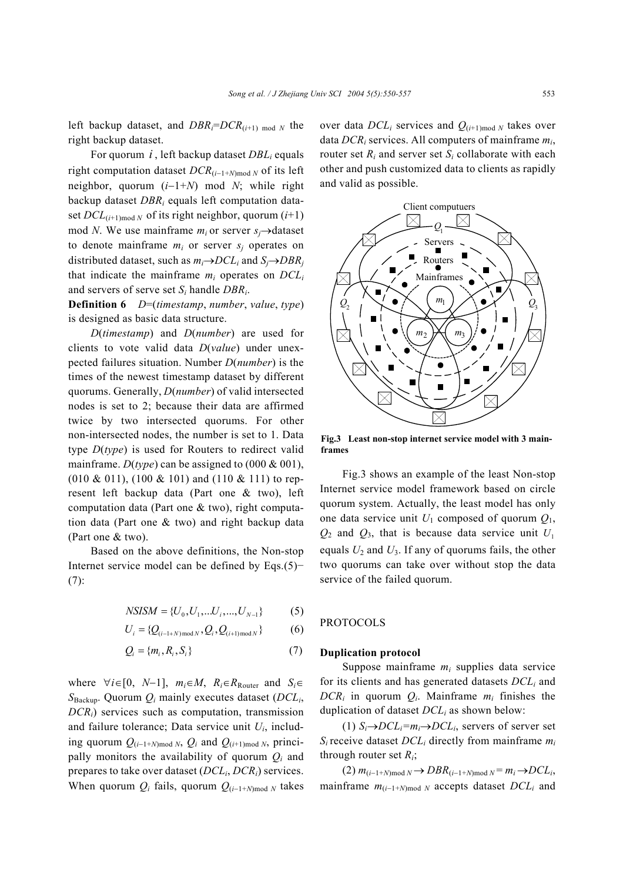left backup dataset, and *DBRi*=*DCR*(*i*+1) mod *N* the right backup dataset.

For quorum *i* , left backup dataset *DBLi* equals right computation dataset *DCR*(*i*−1+*N*)mod *N* of its left neighbor, quorum (*i*−1+*N*) mod *N*; while right backup dataset *DBRi* equals left computation dataset  $DCL_{(i+1) \text{ mod } N}$  of its right neighbor, quorum  $(i+1)$ mod *N*. We use mainframe  $m_i$  or server  $s_i \rightarrow$  dataset to denote mainframe  $m_i$  or server  $s_i$  operates on distributed dataset, such as  $m_i \rightarrow DCL_i$  and  $S_i \rightarrow DBR_i$ that indicate the mainframe  $m_i$  operates on  $DCL_i$ and servers of serve set *Si* handle *DBRi*.

**Definition 6** *D*=(*timestamp*, *number*, *value*, *type*) is designed as basic data structure.

*D*(*timestamp*) and *D*(*number*) are used for clients to vote valid data *D*(*value*) under unexpected failures situation. Number *D*(*number*) is the times of the newest timestamp dataset by different quorums. Generally, *D*(*number*) of valid intersected nodes is set to 2; because their data are affirmed twice by two intersected quorums. For other non-intersected nodes, the number is set to 1. Data type *D*(*type*) is used for Routers to redirect valid mainframe.  $D(tvpe)$  can be assigned to (000 & 001),  $(010 \& 011)$ ,  $(100 \& 101)$  and  $(110 \& 111)$  to represent left backup data (Part one & two), left computation data (Part one & two), right computation data (Part one & two) and right backup data (Part one & two).

Based on the above definitions, the Non-stop Internet service model can be defined by Eqs.(5)− (7):

$$
NSISM = \{U_0, U_1, \dots, U_i, \dots, U_{N-1}\}
$$
 (5)

$$
U_i = \{Q_{(i-1+N) \text{ mod } N}, Q_i, Q_{(i+1) \text{ mod } N}\}\
$$
 (6)

$$
Q_i = \{m_i, R_i, S_i\} \tag{7}
$$

where  $\forall i \in [0, N-1]$ ,  $m_i \in M$ ,  $R_i \in R_{\text{Router}}$  and  $S_i \in$ *S*Backup. Quorum *Qi* mainly executes dataset (*DCLi*, *DCRi*) services such as computation, transmission and failure tolerance; Data service unit *Ui*, including quorum *Q*(*i*−1+*N*)mod *N*, *Qi* and *Q*(*i*+1)mod *N*, principally monitors the availability of quorum  $Q_i$  and prepares to take over dataset (*DCLi*, *DCRi*) services. When quorum  $Q_i$  fails, quorum  $Q_{(i-1+N) \text{ mod } N}$  takes over data  $DCL_i$  services and  $Q_{(i+1) \text{mod } N}$  takes over data *DCRi* services. All computers of mainframe *mi*, router set  $R_i$  and server set  $S_i$  collaborate with each other and push customized data to clients as rapidly and valid as possible.



**Fig.3 Least non-stop internet service model with 3 mainframes** 

Fig.3 shows an example of the least Non-stop Internet service model framework based on circle quorum system. Actually, the least model has only one data service unit *U*1 composed of quorum *Q*1,  $Q_2$  and  $Q_3$ , that is because data service unit  $U_1$ equals  $U_2$  and  $U_3$ . If any of quorums fails, the other two quorums can take over without stop the data service of the failed quorum.

# PROTOCOLS

## **Duplication protocol**

Suppose mainframe *mi* supplies data service for its clients and has generated datasets *DCLi* and  $DCR_i$  in quorum  $Q_i$ . Mainframe  $m_i$  finishes the duplication of dataset *DCLi* as shown below:

(1)  $S_i \rightarrow DCL_i = m_i \rightarrow DCL_i$ , servers of server set  $S_i$  receive dataset  $DCL_i$  directly from mainframe  $m_i$ through router set *Ri*;

(2)  $m_{(i-1+N) \text{mod } N}$  →  $DBR_{(i-1+N) \text{mod } N} = m_i$  →  $DCL_i$ , mainframe *m*(*i*−1+*N*)mod *N* accepts dataset *DCLi* and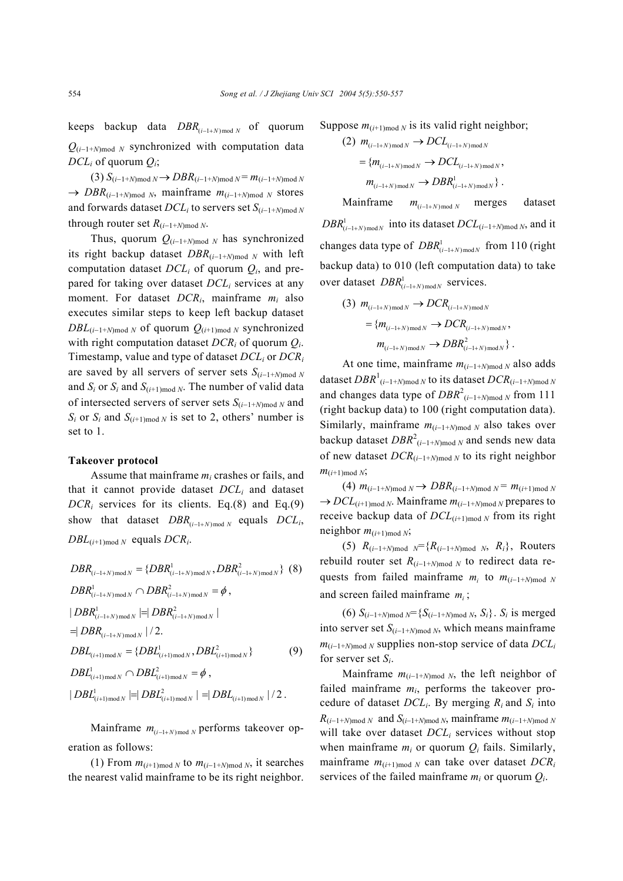keeps backup data  $DBR_{(i-1+N) \text{ mod } N}$  of quorum *Q*(*i*−1+*N*)mod *N* synchronized with computation data *DCLi* of quorum *Qi*;

(3)  $S_{(i-1+N) \text{mod } N}$  →  $DBR_{(i-1+N) \text{mod } N} = m_{(i-1+N) \text{mod } N}$ → *DBR*(*i*−1+*N*)mod *N*, mainframe *m*(*i*−1+*N*)mod *N* stores and forwards dataset  $DCL_i$  to servers set  $S_{(i-1+N) \text{mod } N}$ through router set  $R_{(i-1+N) \text{ mod } N}$ .

Thus, quorum *Q*(*i*−1+*N*)mod *N* has synchronized its right backup dataset *DBR*(*i*−1+*N*)mod *N* with left computation dataset *DCLi* of quorum *Qi*, and prepared for taking over dataset *DCLi* services at any moment. For dataset *DCRi*, mainframe *mi* also executes similar steps to keep left backup dataset *DBL*<sub>(*i*−1+*N*)mod *N* of quorum  $Q$ <sub>(*i*+1)mod *N* synchronized</sub></sub> with right computation dataset *DCRi* of quorum *Qi*. Timestamp, value and type of dataset *DCLi* or *DCRi* are saved by all servers of server sets *S*(*i*−1+*N*)mod *<sup>N</sup>* and  $S_i$  or  $S_i$  and  $S_{(i+1) \text{mod } N}$ . The number of valid data of intersected servers of server sets *S*(*i*−1+*N*)mod *N* and  $S_i$  or  $S_i$  and  $S_{(i+1) \text{mod } N}$  is set to 2, others' number is set to 1.

#### **Takeover protocol**

Assume that mainframe *mi* crashes or fails, and that it cannot provide dataset *DCLi* and dataset  $DCR_i$  services for its clients. Eq.(8) and Eq.(9) show that dataset  $DBR_{(i-1+N) \text{ mod } N}$  equals  $DCL_i$ ,  $DBL_{(i+1) \text{mod } N}$  equals  $DCR_i$ .

$$
DBR_{(i-1+N) \mod N} = \{DBR_{(i-1+N) \mod N}^1, DBR_{(i-1+N) \mod N}^2\} (8)
$$
  
\n
$$
DBR_{(i-1+N) \mod N}^1 \cap DBR_{(i-1+N) \mod N}^2 = \phi,
$$
  
\n
$$
|DBR_{(i-1+N) \mod N}^1| = |DBR_{(i-1+N) \mod N}^2|
$$
  
\n
$$
= |DBR_{(i-1+N) \mod N}^1| / 2.
$$
  
\n
$$
DBL_{(i+1) \mod N} = \{DBL_{(i+1) \mod N}^1, DBL_{(i+1) \mod N}^2\}
$$
  
\n
$$
DBL_{(i+1) \mod N}^1 \cap DBL_{(i+1) \mod N}^2 = \phi,
$$
  
\n
$$
|DBL_{(i+1) \mod N}^1| = |DBL_{(i+1) \mod N}^2| / 2.
$$

Mainframe  $m_{(i-1+N) \text{ mod } N}$  performs takeover operation as follows:

(1) From  $m_{(i+1) \text{ mod } N}$  to  $m_{(i-1+N) \text{ mod } N}$ , it searches the nearest valid mainframe to be its right neighbor. Suppose  $m_{(i+1) \text{mod } N}$  is its valid right neighbor;

$$
(2) \ m_{(i-1+N) \mod N} \rightarrow DCL_{(i-1+N) \mod N}
$$

$$
= \{m_{(i-1+N) \mod N} \rightarrow DCL_{(i-1+N) \mod N}, m_{(i-1+N) \mod N} \rightarrow DBR_{(i-1+N) \mod N}^1\}.
$$

Mainframe  $m_{(i-1+N) \text{ mod } N}$  merges dataset  $DBR^1_{(i-1+N) \text{ mod } N}$  into its dataset  $DCL_{(i-1+N) \text{ mod } N}$ , and it changes data type of  $DBR^1_{(i-1+N) \text{ mod } N}$  from 110 (right backup data) to 010 (left computation data) to take over dataset  $DBR^1_{(i-1+N) \text{ mod } N}$  services.

(3) 
$$
m_{(i-1+N) \text{ mod } N} \rightarrow DCR_{(i-1+N) \text{ mod } N}
$$
  
=  $\{m_{(i-1+N) \text{ mod } N} \rightarrow DCR_{(i-1+N) \text{ mod } N}, m_{(i-1+N) \text{ mod } N} \rightarrow DBR_{(i-1+N) \text{ mod } N}^2\}$ .

At one time, mainframe *m*(*i*−1+*N*)mod *N* also adds dataset *DBR*<sup>1</sup> (*i*−1+*N*)mod *N* to its dataset *DCR*(*i*−1+*N*)mod *<sup>N</sup>* and changes data type of *DBR*<sup>2</sup> (*i*−1+*N*)mod *N* from 111 (right backup data) to 100 (right computation data). Similarly, mainframe  $m_{(i-1+N) \text{ mod } N}$  also takes over backup dataset *DBR*<sup>2</sup> (*i*−1+*N*)mod *N* and sends new data of new dataset *DCR*(*i*−1+*N*)mod *N* to its right neighbor  $m_{(i+1) \text{mod } N}$ ;

(4)  $m_{(i-1+N) \text{mod } N}$  →  $DBR_{(i-1+N) \text{mod } N} = m_{(i+1) \text{mod } N}$ → *DCL*(*i*+1)mod *N*. Mainframe *m*(*i*−1+*N*)mod *N* prepares to receive backup data of  $DCL_{(i+1)mod N}$  from its right neighbor  $m_{(i+1) \text{mod } N}$ ;

(5)  $R_{(i-1+N) \text{mod } N} = \{R_{(i-1+N) \text{mod } N}, R_i\}$ , Routers rebuild router set *R*(*i*−1+*N*)mod *N* to redirect data requests from failed mainframe  $m_i$  to  $m_{(i-1+N) \text{ mod } N}$ and screen failed mainframe  $m<sub>i</sub>$ ;

(6)  $S_{(i-1+N) \text{mod } N} = {S_{(i-1+N) \text{mod } N}, S_i}$ .  $S_i$  is merged into server set *S*(*i*−1+*N*)mod *N*, which means mainframe *m*<sub>(*i*−1+*N*)mod *N* supplies non-stop service of data *DCL*<sub>*i*</sub></sub> for server set *Si*.

Mainframe  $m_{(i-1+N) \text{mod } N}$ , the left neighbor of failed mainframe  $m_i$ , performs the takeover procedure of dataset  $DCL_i$ . By merging  $R_i$  and  $S_i$  into  $R_{(i-1+N) \text{mod } N}$  and  $S_{(i-1+N) \text{mod } N}$ , mainframe  $m_{(i-1+N) \text{mod } N}$ will take over dataset *DCL<sub>i</sub>* services without stop when mainframe  $m_i$  or quorum  $Q_i$  fails. Similarly, mainframe  $m_{(i+1) \text{mod } N}$  can take over dataset  $DCR_i$ services of the failed mainframe *mi* or quorum *Qi*.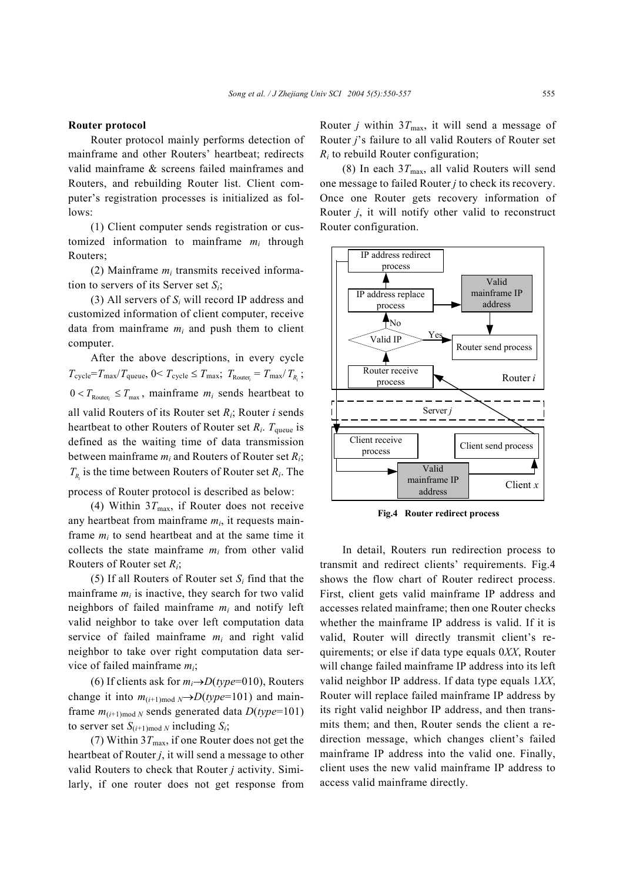### **Router protocol**

Router protocol mainly performs detection of mainframe and other Routers' heartbeat; redirects valid mainframe & screens failed mainframes and Routers, and rebuilding Router list. Client computer's registration processes is initialized as follows:

(1) Client computer sends registration or customized information to mainframe  $m_i$  through Routers;

(2) Mainframe  $m_i$  transmits received information to servers of its Server set *Si*;

(3) All servers of *Si* will record IP address and customized information of client computer, receive data from mainframe *mi* and push them to client computer.

After the above descriptions, in every cycle  $T_{\text{cycle}} = T_{\text{max}}/T_{\text{queue}}$ ,  $0 < T_{\text{cycle}} \le T_{\text{max}}$ ;  $T_{\text{Router}} = T_{\text{max}}/T_{\text{R}}$ ;  $0 < T_{\text{Router}_{i}} \leq T_{\text{max}}$ , mainframe  $m_i$  sends heartbeat to all valid Routers of its Router set *Ri*; Router *i* sends heartbeat to other Routers of Router set  $R_i$ .  $T_{queue}$  is defined as the waiting time of data transmission between mainframe  $m_i$  and Routers of Router set  $R_i$ ;  $T_R$  is the time between Routers of Router set  $R_i$ . The process of Router protocol is described as below:

(4) Within  $3T_{\text{max}}$ , if Router does not receive any heartbeat from mainframe *mi*, it requests mainframe  $m_i$  to send heartbeat and at the same time it collects the state mainframe  $m_i$  from other valid Routers of Router set *Ri*;

(5) If all Routers of Router set *Si* find that the mainframe  $m_i$  is inactive, they search for two valid neighbors of failed mainframe *mi* and notify left valid neighbor to take over left computation data service of failed mainframe *mi* and right valid neighbor to take over right computation data service of failed mainframe *mi*;

(6) If clients ask for  $m_i \rightarrow D(typ e=010)$ , Routers change it into  $m_{(i+1) \text{ mod } N}$   $\rightarrow$  *D*(*type*=101) and mainframe  $m_{(i+1) \text{ mod } N}$  sends generated data  $D(typ e=101)$ to server set  $S_{(i+1) \text{mod } N}$  including  $S_i$ ;

(7) Within  $3T_{\text{max}}$ , if one Router does not get the heartbeat of Router *j*, it will send a message to other valid Routers to check that Router *j* activity. Similarly, if one router does not get response from

Router *j* within  $3T_{\text{max}}$ , it will send a message of Router *j*'s failure to all valid Routers of Router set *Ri* to rebuild Router configuration;

(8) In each  $3T_{\text{max}}$ , all valid Routers will send one message to failed Router *j* to check its recovery. Once one Router gets recovery information of Router *j*, it will notify other valid to reconstruct Router configuration.



**Fig.4 Router redirect process**

In detail, Routers run redirection process to transmit and redirect clients' requirements. Fig.4 shows the flow chart of Router redirect process. First, client gets valid mainframe IP address and accesses related mainframe; then one Router checks whether the mainframe IP address is valid. If it is valid, Router will directly transmit client's requirements; or else if data type equals 0*XX*, Router will change failed mainframe IP address into its left valid neighbor IP address. If data type equals 1*XX*, Router will replace failed mainframe IP address by its right valid neighbor IP address, and then transmits them; and then, Router sends the client a redirection message, which changes client's failed mainframe IP address into the valid one. Finally, client uses the new valid mainframe IP address to access valid mainframe directly.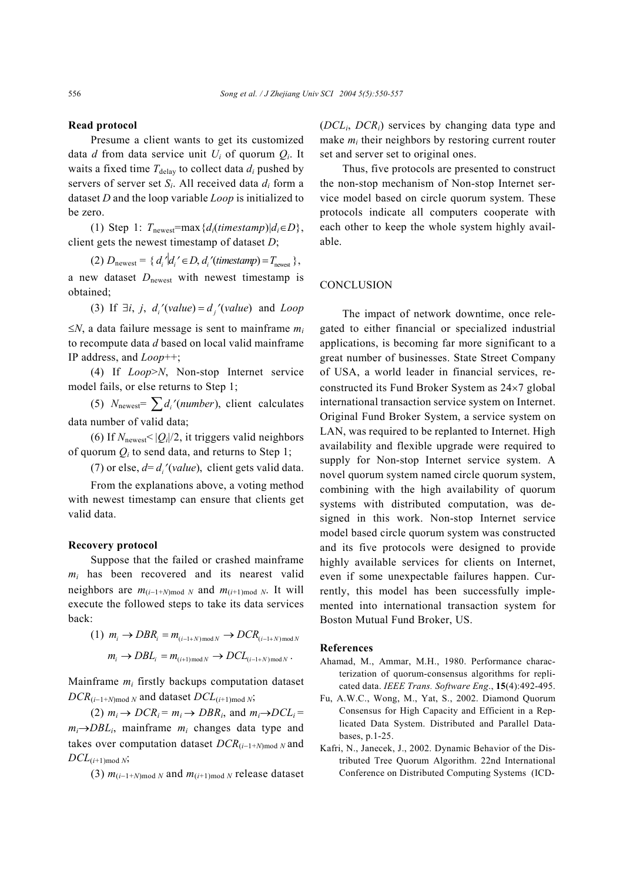## **Read protocol**

Presume a client wants to get its customized data *d* from data service unit *Ui* of quorum *Qi*. It waits a fixed time  $T_{\text{delay}}$  to collect data  $d_i$  pushed by servers of server set *Si*. All received data *di* form a dataset *D* and the loop variable *Loop* is initialized to be zero.

(1) Step 1:  $T_{\text{newest}} = \max\{d_i(\text{timestamp})|d_i \in D\},$ client gets the newest timestamp of dataset *D*;

(2)  $D_{\text{newest}} = \{ d_i' | d_i' \in D, d_i' (time stamp) = T_{\text{newest}} \},$ a new dataset *D*newest with newest timestamp is obtained;

(3) If  $\exists i, j, d_i' (value) = d_i' (value)$  and *Loop* ≤*N*, a data failure message is sent to mainframe *mi* to recompute data *d* based on local valid mainframe

IP address, and *Loop*++; (4) If *Loop*>*N*, Non-stop Internet service model fails, or else returns to Step 1;

(5)  $N_{\text{newest}} = \sum d_i' (number)$ , client calculates data number of valid data;

(6) If  $N_{\text{newest}} < |Q_i|/2$ , it triggers valid neighbors of quorum  $Q_i$  to send data, and returns to Step 1;

(7) or else,  $d=d_i'(value)$ , client gets valid data.

From the explanations above, a voting method with newest timestamp can ensure that clients get valid data.

#### **Recovery protocol**

Suppose that the failed or crashed mainframe *mi* has been recovered and its nearest valid neighbors are  $m_{(i-1+N) \text{ mod } N}$  and  $m_{(i+1) \text{ mod } N}$ . It will execute the followed steps to take its data services back:

(1) 
$$
m_i \rightarrow DBR_i = m_{(i-1+N) \mod N} \rightarrow DCR_{(i-1+N) \mod N}
$$
  
\n $m_i \rightarrow DBL_i = m_{(i+1) \mod N} \rightarrow DCL_{(i-1+N) \mod N}$ .

Mainframe  $m_i$  firstly backups computation dataset  $DCR$ <sub>(*i*−1+*N*)mod *N*</sub> and dataset  $DCL$ <sub>(*i*+1)mod *N*;</sub>

(2)  $m_i \rightarrow DCR_i = m_i \rightarrow DBR_i$ , and  $m_i \rightarrow DCL_i =$  $m_i \rightarrow DBL_i$ , mainframe  $m_i$  changes data type and takes over computation dataset *DCR*(*i*−1+*N*)mod *N* and  $DCL_{(i+1) \text{mod } N}$ ;

(3)  $m_{(i-1+N) \text{ mod } N}$  and  $m_{(i+1) \text{ mod } N}$  release dataset

(*DCLi*, *DCRi*) services by changing data type and make  $m_i$  their neighbors by restoring current router set and server set to original ones.

Thus, five protocols are presented to construct the non-stop mechanism of Non-stop Internet service model based on circle quorum system. These protocols indicate all computers cooperate with each other to keep the whole system highly available.

## **CONCLUSION**

The impact of network downtime, once relegated to either financial or specialized industrial applications, is becoming far more significant to a great number of businesses. State Street Company of USA, a world leader in financial services, reconstructed its Fund Broker System as 24×7 global international transaction service system on Internet. Original Fund Broker System, a service system on LAN, was required to be replanted to Internet. High availability and flexible upgrade were required to supply for Non-stop Internet service system. A novel quorum system named circle quorum system, combining with the high availability of quorum systems with distributed computation, was designed in this work. Non-stop Internet service model based circle quorum system was constructed and its five protocols were designed to provide highly available services for clients on Internet, even if some unexpectable failures happen. Currently, this model has been successfully implemented into international transaction system for Boston Mutual Fund Broker, US.

## **References**

- Ahamad, M., Ammar, M.H., 1980. Performance characterization of quorum-consensus algorithms for replicated data. *IEEE Trans. Software Eng*., **15**(4):492-495.
- Fu, A.W.C., Wong, M., Yat, S., 2002. Diamond Quorum Consensus for High Capacity and Efficient in a Replicated Data System. Distributed and Parallel Databases, p.1-25.
- Kafri, N., Janecek, J., 2002. Dynamic Behavior of the Distributed Tree Quorum Algorithm. 22nd International Conference on Distributed Computing Systems (ICD-